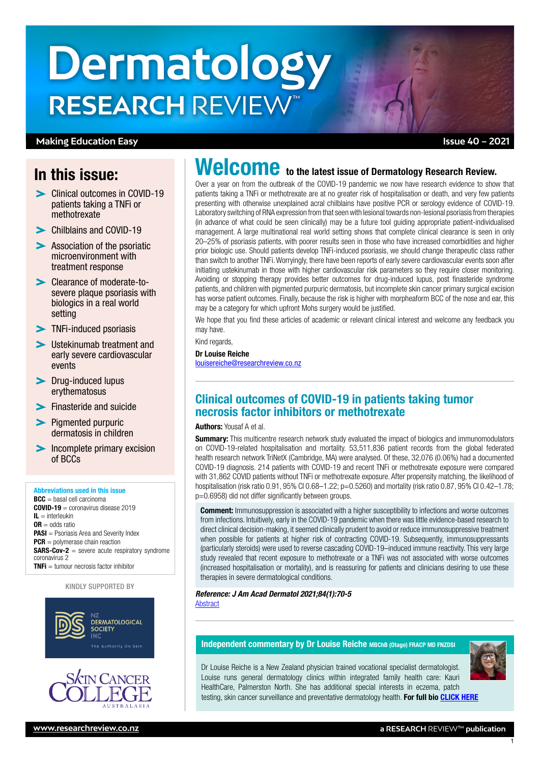# **Dermatology RESEARCH** REVIEW™

### **Making Education Easy**

# In this issue:

- Clinical outcomes in COVID-19 patients taking a TNFi or **methotrexate**
- [Chilblains and COVID-19](#page-1-0)
- **Association of the psoriatic** [microenvironment with](#page-1-0)  [treatment response](#page-1-0)
- [Clearance of moderate-to](#page-2-0)[severe plaque psoriasis with](#page-2-0)  [biologics in a real world](#page-2-0)  [setting](#page-2-0)
- **[TNFi-induced psoriasis](#page-2-0)**
- [Ustekinumab treatment and](#page-2-0)  [early severe cardiovascular](#page-2-0)  [events](#page-2-0)
- > Drug-induced lupus [erythematosus](#page-3-0)
- **[Finasteride and suicide](#page-3-0)**
- $\blacktriangleright$  Piamented purpuric [dermatosis in children](#page-3-0)
- **Incomplete primary excision** [of BCCs](#page-3-0)

#### Abbreviations used in this issue

 $BCC =$  basal cell carcinoma  $COMID-19 = \text{conmarirus disease } 2019$  $IL =$  interleukin  $OR = odds ratio$ **PASI** = Psoriasis Area and Severity Index  $PCR =$  polymerase chain reaction SARS-Cov-2 = severe acute respiratory syndrome coronavirus 2 TNFi = tumour necrosis factor inhibitor

#### KINDLY SUPPORTED BY





# patients taking a TNFi or methotrexate are at no greater risk of hospitalisation or death, and very few patients

presenting with otherwise unexplained acral chilblains have positive PCR or serology evidence of COVID-19. Laboratory switching of RNA expression from that seen with lesional towards non-lesional psoriasis from therapies (in advance of what could be seen clinically) may be a future tool guiding appropriate patient-individualised management. A large multinational real world setting shows that complete clinical clearance is seen in only 20–25% of psoriasis patients, with poorer results seen in those who have increased comorbidities and higher prior biologic use. Should patients develop TNFi-induced psoriasis, we should change therapeutic class rather than switch to another TNFi. Worryingly, there have been reports of early severe cardiovascular events soon after initiating ustekinumab in those with higher cardiovascular risk parameters so they require closer monitoring. Avoiding or stopping therapy provides better outcomes for drug-induced lupus, post finasteride syndrome patients, and children with pigmented purpuric dermatosis, but incomplete skin cancer primary surgical excision has worse patient outcomes. Finally, because the risk is higher with morpheaform BCC of the nose and ear, this may be a category for which upfront Mohs surgery would be justified.

Welcome to the latest issue of Dermatology Research Review. Over a year on from the outbreak of the COVID-19 pandemic we now have research evidence to show that

We hope that you find these articles of academic or relevant clinical interest and welcome any feedback you may have.

Kind regards,

#### Dr Louise Reiche [louisereiche@researchreview.co.nz](mailto:louisereiche%40researchreview.co.nz?subject=)

# Clinical outcomes of COVID-19 in patients taking tumor necrosis factor inhibitors or methotrexate

#### Authors: Yousaf A et al.

**Summary:** This multicentre research network study evaluated the impact of biologics and immunomodulators on COVID-19-related hospitalisation and mortality. 53,511,836 patient records from the global federated health research network TriNetX (Cambridge, MA) were analysed. Of these, 32,076 (0.06%) had a documented COVID-19 diagnosis. 214 patients with COVID-19 and recent TNFi or methotrexate exposure were compared with 31,862 COVID patients without TNFi or methotrexate exposure. After propensity matching, the likelihood of hospitalisation (risk ratio 0.91, 95% CI 0.68–1.22; p=0.5260) and mortality (risk ratio 0.87, 95% CI 0.42–1.78; p=0.6958) did not differ significantly between groups.

**Comment:** Immunosuppression is associated with a higher susceptibility to infections and worse outcomes from infections. Intuitively, early in the COVID-19 pandemic when there was little evidence-based research to direct clinical decision-making, it seemed clinically prudent to avoid or reduce immunosuppressive treatment when possible for patients at higher risk of contracting COVID-19. Subsequently, immunosuppressants (particularly steroids) were used to reverse cascading COVID-19–induced immune reactivity. This very large study revealed that recent exposure to methotrexate or a TNFi was not associated with worse outcomes (increased hospitalisation or mortality), and is reassuring for patients and clinicians desiring to use these therapies in severe dermatological conditions.

# *Reference: J Am Acad Dermatol 2021;84(1):70-5*

**[Abstract](https://www.jaad.org/article/S0190-9622(20)32593-7/fulltext)** 

#### Independent commentary by Dr Louise Reiche MBChB (Otago) FRACP MD FNZDSI



1

Dr Louise Reiche is a New Zealand physician trained vocational specialist dermatologist. Louise runs general dermatology clinics within integrated family health care: Kauri HealthCare, Palmerston North. She has additional special interests in eczema, patch testing, skin cancer surveillance and preventative dermatology health. For full bio [CLICK HERE](https://www.researchreview.co.nz/nz/Writers.aspx?area=13888,&id=13888)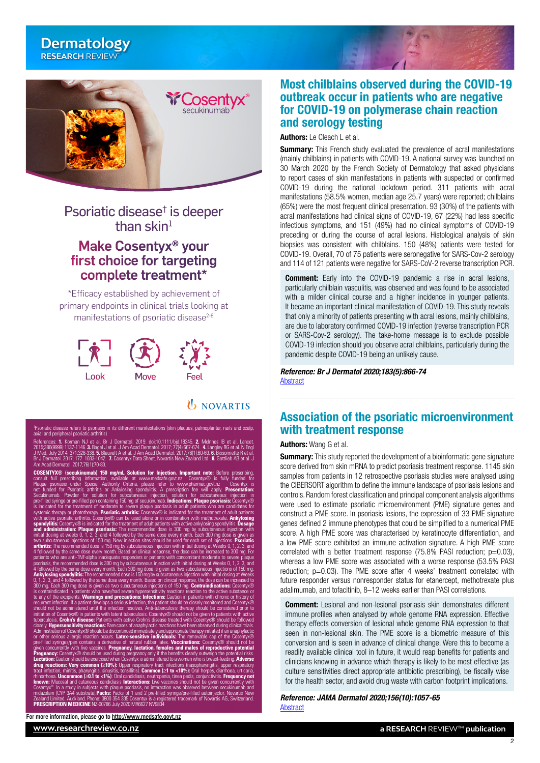## <span id="page-1-0"></span>**Dermatology RESEARCH** REVIEW™



# Psoriatic disease<sup>†</sup> is deeper than  $\sin^1$

# Make Cosentyx® your first choice for targeting complete treatment\*

\*Efficacy established by achievement of primary endpoints in clinical trials looking at manifestations of psoriatic disease $2-8$ 



*UNOVARTIS* 



# Most chilblains observed during the COVID-19 outbreak occur in patients who are negative for COVID-19 on polymerase chain reaction and serology testing

Authors: Le Cleach Let al.

**Summary:** This French study evaluated the prevalence of acral manifestations (mainly chilblains) in patients with COVID-19. A national survey was launched on 30 March 2020 by the French Society of Dermatology that asked physicians to report cases of skin manifestations in patients with suspected or confirmed COVID-19 during the national lockdown period. 311 patients with acral manifestations (58.5% women, median age 25.7 years) were reported; chilblains (65%) were the most frequent clinical presentation. 93 (30%) of the patients with acral manifestations had clinical signs of COVID-19, 67 (22%) had less specific infectious symptoms, and 151 (49%) had no clinical symptoms of COVID-19 preceding or during the course of acral lesions. Histological analysis of skin biopsies was consistent with chilblains. 150 (48%) patients were tested for COVID-19. Overall, 70 of 75 patients were seronegative for SARS-Cov-2 serology and 114 of 121 patients were negative for SARS-CoV-2 reverse transcription PCR.

**Comment:** Early into the COVID-19 pandemic a rise in acral lesions, particularly chilblain vasculitis, was observed and was found to be associated with a milder clinical course and a higher incidence in younger patients. It became an important clinical manifestation of COVID-19. This study reveals that only a minority of patients presenting with acral lesions, mainly chilblains, are due to laboratory confirmed COVID-19 infection (reverse transcription PCR or SARS-Cov-2 serology). The take-home message is to exclude possible COVID-19 infection should you observe acral chilblains, particularly during the pandemic despite COVID-19 being an unlikely cause.

*Reference: Br J Dermatol 2020;183(5):866-74* [Abstract](https://onlinelibrary.wiley.com/doi/10.1111/bjd.19377)

# Association of the psoriatic microenvironment with treatment response

Authors: Wang G et al.

Summary: This study reported the development of a bioinformatic gene signature score derived from skin mRNA to predict psoriasis treatment response. 1145 skin samples from patients in 12 retrospective psoriasis studies were analysed using the CIBERSORT algorithm to define the immune landscape of psoriasis lesions and controls. Random forest classification and principal component analysis algorithms were used to estimate psoriatic microenvironment (PME) signature genes and construct a PME score. In psoriasis lesions, the expression of 33 PME signature genes defined 2 immune phenotypes that could be simplified to a numerical PME score. A high PME score was characterised by keratinocyte differentiation, and a low PME score exhibited an immune activation signature. A high PME score correlated with a better treatment response  $(75.8\%$  PASI reduction;  $p=0.03$ ). whereas a low PME score was associated with a worse response (53.5% PASI reduction; p=0.03). The PME score after 4 weeks' treatment correlated with future responder versus nonresponder status for etanercept, methotrexate plus adalimumab, and tofacitinib, 8–12 weeks earlier than PASI correlations.

**Comment:** Lesional and non-lesional psoriasis skin demonstrates different immune profiles when analysed by whole genome RNA expression. Effective therapy effects conversion of lesional whole genome RNA expression to that seen in non-lesional skin. The PME score is a biometric measure of this conversion and is seen in advance of clinical change. Were this to become a readily available clinical tool in future, it would reap benefits for patients and clinicians knowing in advance which therapy is likely to be most effective (as culture sensitivities direct appropriate antibiotic prescribing), be fiscally wise for the health sector, and avoid drug waste with carbon footprint implications.

*Reference: JAMA Dermatol 2020;156(10):1057-65* [Abstract](https://jamanetwork.com/journals/jamadermatology/article-abstract/2770071)

2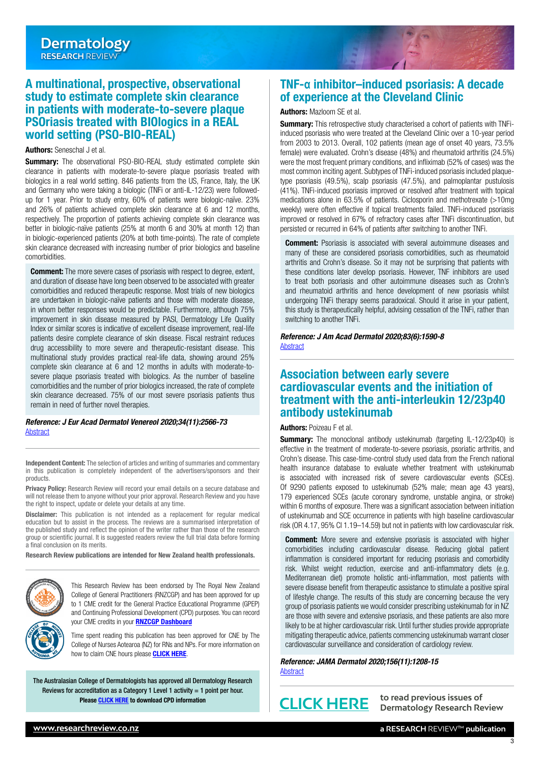## <span id="page-2-0"></span>A multinational, prospective, observational study to estimate complete skin clearance in patients with moderate-to-severe plaque PSOriasis treated with BIOlogics in a REAL world setting (PSO-BIO-REAL)

#### Authors: Seneschal J et al.

**Summary:** The observational PSO-BIO-REAL study estimated complete skin clearance in patients with moderate-to-severe plaque psoriasis treated with biologics in a real world setting. 846 patients from the US, France, Italy, the UK and Germany who were taking a biologic (TNFi or anti-IL-12/23) were followedup for 1 year. Prior to study entry, 60% of patients were biologic-naïve. 23% and 26% of patients achieved complete skin clearance at 6 and 12 months, respectively. The proportion of patients achieving complete skin clearance was better in biologic-naïve patients (25% at month 6 and 30% at month 12) than in biologic-experienced patients (20% at both time-points). The rate of complete skin clearance decreased with increasing number of prior biologics and baseline comorbidities.

**Comment:** The more severe cases of psoriasis with respect to degree, extent, and duration of disease have long been observed to be associated with greater comorbidities and reduced therapeutic response. Most trials of new biologics are undertaken in biologic-naïve patients and those with moderate disease, in whom better responses would be predictable. Furthermore, although 75% improvement in skin disease measured by PASI, Dermatology Life Quality Index or similar scores is indicative of excellent disease improvement, real-life patients desire complete clearance of skin disease. Fiscal restraint reduces drug accessibility to more severe and therapeutic-resistant disease. This multinational study provides practical real-life data, showing around 25% complete skin clearance at 6 and 12 months in adults with moderate-tosevere plaque psoriasis treated with biologics. As the number of baseline comorbidities and the number of prior biologics increased, the rate of complete skin clearance decreased. 75% of our most severe psoriasis patients thus remain in need of further novel therapies.

#### *Reference: J Eur Acad Dermatol Venereol 2020;34(11):2566-73* **[Abstract](https://onlinelibrary.wiley.com/doi/10.1111/jdv.16568)**

Independent Content: The selection of articles and writing of summaries and commentary in this publication is completely independent of the advertisers/sponsors and their products.

Privacy Policy: Research Review will record your email details on a secure database and will not release them to anyone without your prior approval. Research Review and you have the right to inspect, update or delete your details at any time.

Disclaimer: This publication is not intended as a replacement for regular medical education but to assist in the process. The reviews are a summarised interpretation of the published study and reflect the opinion of the writer rather than those of the research group or scientific journal. It is suggested readers review the full trial data before forming a final conclusion on its merits.

Research Review publications are intended for New Zealand health professionals.



This Research Review has been endorsed by The Royal New Zealand College of General Practitioners (RNZCGP) and has been approved for up to 1 CME credit for the General Practice Educational Programme (GPEP) and Continuing Professional Development (CPD) purposes. You can record your CME credits in your **[RNZCGP Dashboard](https://www.rnzcgp.org.nz/RNZCGP/Contact_Management/Sign_In.aspx)** 

Time spent reading this publication has been approved for CNE by The College of Nurses Aotearoa (NZ) for RNs and NPs. For more information on how to claim CNE hours please **[CLICK HERE](http://www.nurse.org.nz/continuing-nursing-education-cne-template.html)**.

The Australasian College of Dermatologists has approved all Dermatology Research Reviews for accreditation as a Category 1 Level 1 activity  $= 1$  point per hour. Please [CLICK HERE](https://www.dermcoll.edu.au/for-fellows-and-trainees/continued-learning-cpd/continuing-professional-development-cpd/) to download CPD information

# TNF-**α** inhibitor–induced psoriasis: A decade of experience at the Cleveland Clinic

#### Authors: Mazloom SE et al.

Summary: This retrospective study characterised a cohort of patients with TNFiinduced psoriasis who were treated at the Cleveland Clinic over a 10-year period from 2003 to 2013. Overall, 102 patients (mean age of onset 40 years, 73.5% female) were evaluated. Crohn's disease (48%) and rheumatoid arthritis (24.5%) were the most frequent primary conditions, and infliximab (52% of cases) was the most common inciting agent. Subtypes of TNFi-induced psoriasis included plaquetype psoriasis (49.5%), scalp psoriasis (47.5%), and palmoplantar pustulosis (41%). TNFi-induced psoriasis improved or resolved after treatment with topical medications alone in 63.5% of patients. Ciclosporin and methotrexate (>10mg weekly) were often effective if topical treatments failed. TNFi-induced psoriasis improved or resolved in 67% of refractory cases after TNFi discontinuation, but persisted or recurred in 64% of patients after switching to another TNFi.

**Comment:** Psoriasis is associated with several autoimmune diseases and many of these are considered psoriasis comorbidities, such as rheumatoid arthritis and Crohn's disease. So it may not be surprising that patients with these conditions later develop psoriasis. However, TNF inhibitors are used to treat both psoriasis and other autoimmune diseases such as Crohn's and rheumatoid arthritis and hence development of new psoriasis whilst undergoing TNFi therapy seems paradoxical. Should it arise in your patient, this study is therapeutically helpful, advising cessation of the TNFi, rather than switching to another TNFi.

*Reference: J Am Acad Dermatol 2020;83(6):1590-8* [Abstract](https://www.jaad.org/article/S0190-9622(18)33089-5/fulltext)

# Association between early severe cardiovascular events and the initiation of treatment with the anti-interleukin 12/23p40 antibody ustekinumab

#### Authors: Poizeau F et al.

**Summary:** The monoclonal antibody ustekinumab (targeting IL-12/23p40) is effective in the treatment of moderate-to-severe psoriasis, psoriatic arthritis, and Crohn's disease. This case-time-control study used data from the French national health insurance database to evaluate whether treatment with ustekinumab is associated with increased risk of severe cardiovascular events (SCEs). Of 9290 patients exposed to ustekinumab (52% male; mean age 43 years), 179 experienced SCEs (acute coronary syndrome, unstable angina, or stroke) within 6 months of exposure. There was a significant association between initiation of ustekinumab and SCE occurrence in patients with high baseline cardiovascular risk (OR 4.17, 95% CI 1.19–14.59) but not in patients with low cardiovascular risk.

**Comment:** More severe and extensive psoriasis is associated with higher comorbidities including cardiovascular disease. Reducing global patient inflammation is considered important for reducing psoriasis and comorbidity risk. Whilst weight reduction, exercise and anti-inflammatory diets (e.g. Mediterranean diet) promote holistic anti-inflammation, most patients with severe disease benefit from therapeutic assistance to stimulate a positive spiral of lifestyle change. The results of this study are concerning because the very group of psoriasis patients we would consider prescribing ustekinumab for in NZ are those with severe and extensive psoriasis, and these patients are also more likely to be at higher cardiovascular risk. Until further studies provide appropriate mitigating therapeutic advice, patients commencing ustekinumab warrant closer cardiovascular surveillance and consideration of cardiology review.

*Reference: JAMA Dermatol 2020;156(11):1208-15* [Abstract](https://jamanetwork.com/journals/jamadermatology/article-abstract/2770560)



**to read previous issues of [CLICK HERE](http://www.researchreview.co.nz/nz/Clinical-Area/General-Medicine/Dermatology.aspx) Dermatology Research Review**

3